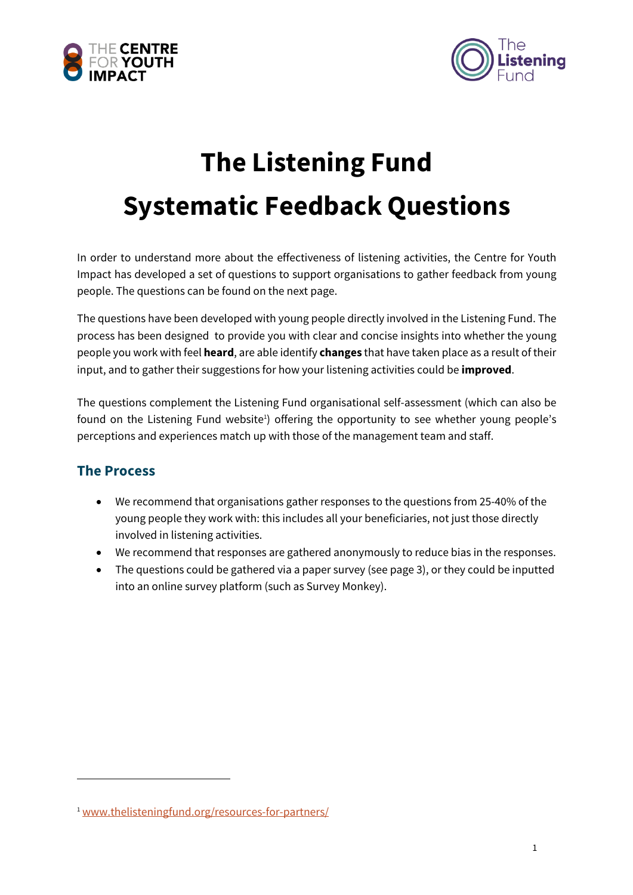



## **The Listening Fund Systematic Feedback Questions**

In order to understand more about the effectiveness of listening activities, the Centre for Youth Impact has developed a set of questions to support organisations to gather feedback from young people. The questions can be found on the next page.

The questions have been developed with young people directly involved in the Listening Fund. The process has been designed to provide you with clear and concise insights into whether the young people you work with feel **heard**, are able identify **changes** that have taken place as a result of their input, and to gather their suggestions for how your listening activities could be **improved**.

The questions complement the Listening Fund organisational self-assessment (which can also be found on the Listening Fund website<sup>1</sup>) offering the opportunity to see whether young people's perceptions and experiences match up with those of the management team and staff.

## **The Process**

- We recommend that organisations gather responses to the questions from 25-40% of the young people they work with: this includes all your beneficiaries, not just those directly involved in listening activities.
- We recommend that responses are gathered anonymously to reduce bias in the responses.
- The questions could be gathered via a paper survey (see page 3), or they could be inputted into an online survey platform (such as Survey Monkey).

<sup>1</sup> www.thelisteningfund.org/resources-for-partners/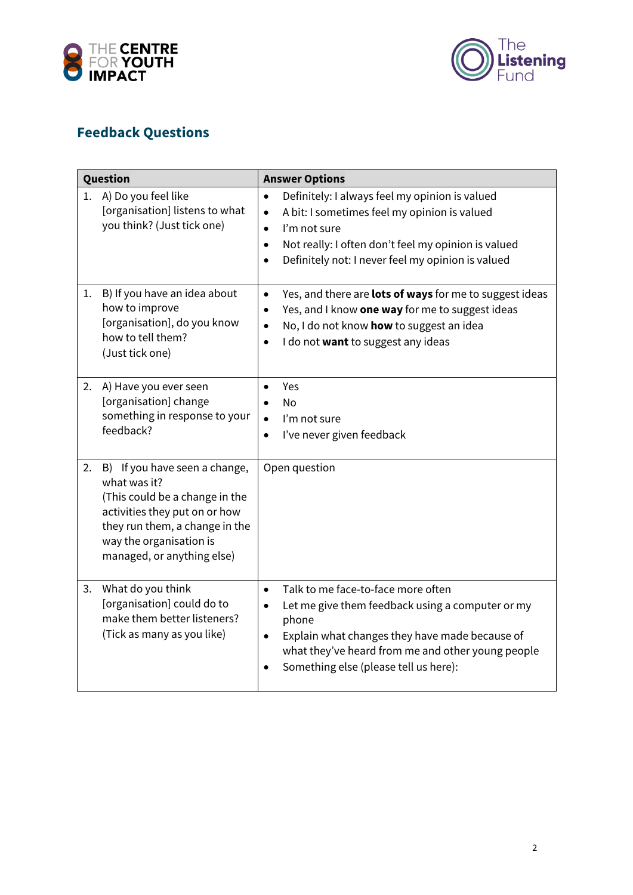



## **Feedback Questions**

| Question |                                                                                                                                                                                                             | <b>Answer Options</b>                                                                                                                                                                                                                                                                       |
|----------|-------------------------------------------------------------------------------------------------------------------------------------------------------------------------------------------------------------|---------------------------------------------------------------------------------------------------------------------------------------------------------------------------------------------------------------------------------------------------------------------------------------------|
|          | 1. A) Do you feel like<br>[organisation] listens to what<br>you think? (Just tick one)                                                                                                                      | Definitely: I always feel my opinion is valued<br>$\bullet$<br>A bit: I sometimes feel my opinion is valued<br>$\bullet$<br>I'm not sure<br>$\bullet$<br>Not really: I often don't feel my opinion is valued<br>$\bullet$<br>Definitely not: I never feel my opinion is valued<br>$\bullet$ |
| 1.       | B) If you have an idea about<br>how to improve<br>[organisation], do you know<br>how to tell them?<br>(Just tick one)                                                                                       | Yes, and there are lots of ways for me to suggest ideas<br>$\bullet$<br>Yes, and I know one way for me to suggest ideas<br>$\bullet$<br>No, I do not know how to suggest an idea<br>$\bullet$<br>I do not want to suggest any ideas<br>$\bullet$                                            |
| 2.       | A) Have you ever seen<br>[organisation] change<br>something in response to your<br>feedback?                                                                                                                | Yes<br><b>No</b><br>I'm not sure<br>$\bullet$<br>I've never given feedback<br>$\bullet$                                                                                                                                                                                                     |
| 2.       | B) If you have seen a change,<br>what was it?<br>(This could be a change in the<br>activities they put on or how<br>they run them, a change in the<br>way the organisation is<br>managed, or anything else) | Open question                                                                                                                                                                                                                                                                               |
| 3.       | What do you think<br>[organisation] could do to<br>make them better listeners?<br>(Tick as many as you like)                                                                                                | Talk to me face-to-face more often<br>$\bullet$<br>Let me give them feedback using a computer or my<br>$\bullet$<br>phone<br>Explain what changes they have made because of<br>$\bullet$<br>what they've heard from me and other young people<br>Something else (please tell us here):      |